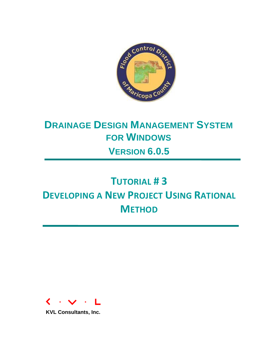

# **DRAINAGE DESIGN MANAGEMENT SYSTEM FOR WINDOWS VERSION 6.0.5**

# **TUTORIAL # 3 DEVELOPING A NEW PROJECT USING RATIONAL METHOD**



**KVL Consultants, Inc.**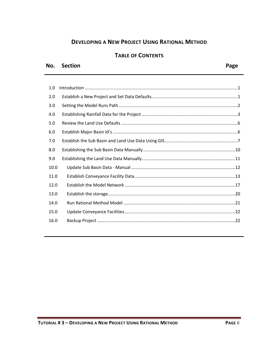# **DEVELOPING A NEW PROJECT USING RATIONAL METHOD**

#### **TABLE OF CONTENTS**

#### No. Section

| 1.0  |  |
|------|--|
| 2.0  |  |
| 3.0  |  |
| 4.0  |  |
| 5.0  |  |
| 6.0  |  |
| 7.0  |  |
| 8.0  |  |
| 9.0  |  |
| 10.0 |  |
| 11.0 |  |
| 12.0 |  |
| 13.0 |  |
| 14.0 |  |
| 15.0 |  |
| 16.0 |  |
|      |  |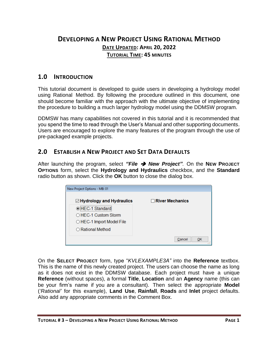# **DEVELOPING A NEW PROJECT USING RATIONAL METHOD DATE UPDATED: APRIL 20, 2022 TUTORIAL TIME: 45 MINUTES**

#### <span id="page-2-0"></span>**1.0 INTRODUCTION**

This tutorial document is developed to guide users in developing a hydrology model using Rational Method. By following the procedure outlined in this document, one should become familiar with the approach with the ultimate objective of implementing the procedure to building a much larger hydrology model using the DDMSW program.

DDMSW has many capabilities not covered in this tutorial and it is recommended that you spend the time to read through the User's Manual and other supporting documents. Users are encouraged to explore the many features of the program through the use of pre-packaged example projects.

#### <span id="page-2-1"></span>**2.0 ESTABLISH A NEW PROJECT AND SET DATA DEFAULTS**

After launching the program, select *"File* ➔ *New Project"*. On the **NEW PROJECT OPTIONS** form, select the **Hydrology and Hydraulics** checkbox, and the **Standard** radio button as shown. Click the **OK** button to close the dialog box.

| New Project Options - MB: 01  |                        |
|-------------------------------|------------------------|
| ☑ Hydrology and Hydraulics    | $\Box$ River Mechanics |
| <b>.</b> HEC-1 Standard       |                        |
| $\bigcirc$ HEC-1 Custom Storm |                        |
| ○ HEC-1 Import Model File     |                        |
| $\bigcirc$ Rational Method    |                        |
|                               | Cancel<br>OK           |
|                               |                        |

On the **SELECT PROJECT** form, type "*KVLEXAMPLE3A"* into the **Reference** textbox. This is the name of this newly created project. The users can choose the name as long as it does not exist in the DDMSW database. Each project must have a unique **Reference** (without spaces), a formal **Title**, **Location** and an **Agency** name (this can be your firm's name if you are a consultant). Then select the appropriate **Model** (*'Rational'* for this example), **Land Use**, **Rainfall**, **Roads** and **Inlet** project defaults. Also add any appropriate comments in the Comment Box.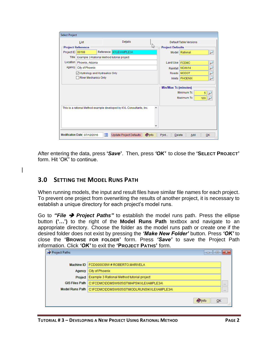| <b>Select Project</b> |                                            |                          |                                                                      |                        |                             |                       |                   |
|-----------------------|--------------------------------------------|--------------------------|----------------------------------------------------------------------|------------------------|-----------------------------|-----------------------|-------------------|
|                       | List                                       |                          |                                                                      | Default Table Versions |                             |                       |                   |
|                       | <b>Project Reference</b>                   |                          |                                                                      | げ                      | <b>Project Defaults</b>     |                       |                   |
| Project ID            | 00108                                      |                          | Reference KVLEXAMPLE3A                                               |                        |                             | Model Rational        | لئو               |
| <b>Title</b>          | Example 3 Rational Method tutorial project |                          |                                                                      |                        |                             |                       |                   |
| Location              | Phoenix, Arizona                           |                          |                                                                      |                        | Land Use   FCDMC            |                       | P                 |
| Agency                | <b>City of Phoenix</b>                     |                          |                                                                      |                        |                             | Rainfall NOAA14       |                   |
|                       | Hydrology and Hydraulics Only              |                          |                                                                      |                        |                             | Roads MCDOT           | $\overline{\rho}$ |
|                       | <b>River Mechanics Only</b>                |                          |                                                                      |                        |                             | Inlets <b>PHOENIX</b> | $\overline{\rho}$ |
|                       |                                            |                          |                                                                      |                        |                             |                       |                   |
|                       |                                            |                          |                                                                      |                        | <b>Min/Max Tc (minutes)</b> |                       |                   |
|                       |                                            |                          |                                                                      |                        |                             | Minimum Tc            | 5                 |
|                       |                                            |                          |                                                                      |                        |                             | Maximum Tc            | 120               |
|                       |                                            |                          |                                                                      |                        |                             |                       |                   |
|                       |                                            |                          | This is a rational Method example developed by KVL Consultants, Inc. | ۸                      |                             |                       |                   |
|                       |                                            |                          |                                                                      |                        |                             |                       |                   |
|                       |                                            |                          |                                                                      |                        |                             |                       |                   |
|                       |                                            |                          |                                                                      |                        |                             |                       |                   |
|                       |                                            |                          |                                                                      |                        |                             |                       |                   |
|                       | Modification Date 07/12/2016               | $\overline{\phantom{a}}$ | <b>Update Project Defaults</b>                                       | <b>Olnfo</b>           | Print                       | <b>Delete</b><br>Add  | QK                |

After entering the data, press **'***Save***'**. Then, press *'OK'* to close the **'SELECT PROJECT'** form. Hit 'OK" to continue.

# <span id="page-3-0"></span>**3.0 SETTING THE MODEL RUNS PATH**

When running models, the input and result files have similar file names for each project. To prevent one project from overwriting the results of another project, it is necessary to establish a unique directory for each project's model runs.

Go to *"File* ➔ *Project Paths"* to establish the model runs path. Press the ellipse button **('…')** to the right of the **Model Runs Path** textbox and navigate to an appropriate directory. Choose the folder as the model runs path or create one if the desired folder does not exist by pressing the *'Make New Folder'* button. Press *'OK'* to close the **'BROWSE FOR FOLDER'** form. Press *'Save'* to save the Project Path information. Click *'OK'* to exit the **'PROJECT PATHS'** form.

| Project Paths         | 回<br>$\Box$                                 | $\overline{\mathbf{z}}$ |
|-----------------------|---------------------------------------------|-------------------------|
|                       |                                             |                         |
| Machine ID            | FCD000039W # ROBERTO.MARIVELA               |                         |
| Agency                | City of Phoenix                             |                         |
| Project               | Example 3 Rational Method tutorial project  |                         |
| <b>GIS Files Path</b> | C:\FCDMC\DDMSW605\ST\MAPS\KVLEXAMPLE3A\     | $\cdots$                |
| Model Runs Path       | C:\FCDMC\DDMSW605\ST\MODLRUNS\KVLEXAMPLE3A\ | 1.11                    |
|                       | <b>O</b> Info<br>OK                         |                         |
|                       |                                             | 1.1                     |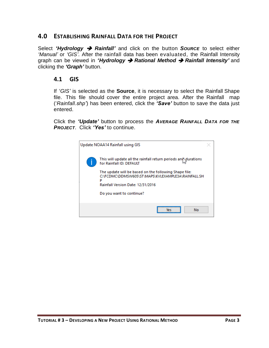#### <span id="page-4-0"></span>**4.0 ESTABLISHING RAINFALL DATA FOR THE PROJECT**

Select *'Hydrology* ➔ *Rainfall'* and click on the button *SOURCE* to select either *'Manual'* or *'GIS'*. After the rainfall data has been evaluated, the Rainfall Intensity graph can be viewed in *'Hydrology* ➔ *Rational Method* ➔ *Rainfall Intensity'* and clicking the *'Graph'* button.

#### **4.1 GIS**

If *'GIS'* is selected as the **Source**, it is necessary to select the Rainfall Shape file. This file should cover the entire project area. After the Rainfall map ('*Rainfall.shp'*) has been entered, click the *'Save'* button to save the data just entered.

Click the *'Update'* button to process the *AVERAGE RAINFALL DATA FOR THE PROJECT*. Click *'Yes'* to continue.

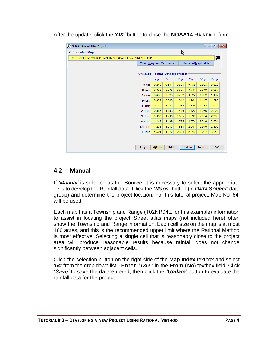|  |  |  | After the update, click the 'OK' button to close the NOAA14 RAINFALL form. |
|--|--|--|----------------------------------------------------------------------------|
|--|--|--|----------------------------------------------------------------------------|

| NOAA 14 Rainfall for Project                        |                                                                |                 |                 |                  |                  |        |        |  |  |  |  |
|-----------------------------------------------------|----------------------------------------------------------------|-----------------|-----------------|------------------|------------------|--------|--------|--|--|--|--|
| <b>GIS Rainfall Map</b>                             |                                                                |                 |                 | V                |                  |        |        |  |  |  |  |
| C:\FCDMC\DDMSW605\ST\MAPS\KVLEXAMPLE3A\RAINFALL.SHP |                                                                |                 |                 |                  |                  |        | 栖      |  |  |  |  |
|                                                     | <b>Required Map Fields</b><br><b>Check Required Map Fields</b> |                 |                 |                  |                  |        |        |  |  |  |  |
|                                                     | <b>Average Rainfall Data for Project</b>                       |                 |                 |                  |                  |        |        |  |  |  |  |
|                                                     |                                                                | 2 <sub>yr</sub> | 5 <sub>yr</sub> | 10 <sub>yr</sub> | 25 <sub>yr</sub> | 50 yr  | 100 yr |  |  |  |  |
|                                                     | 5 Min                                                          | 0.245           | 0.331           | 0.398            | 0.489            | 0.558  | 0.629  |  |  |  |  |
|                                                     | 10 Min                                                         | 0.373           | 0.505           | 0.606            | 0.744            | 0.849  | 0.957  |  |  |  |  |
|                                                     | 15 Min                                                         | 0.462           | 0.626           | 0.752            | 0.922            | 1.052  | 1.187  |  |  |  |  |
|                                                     | 30 Min                                                         | 0.622           | 0.843           | 1.012            | 1.241            | 1.417  | 1.598  |  |  |  |  |
|                                                     | 1 Hour                                                         | 0.770           | 1.043           | 1.253            | 1.536            | 1.754  | 1.978  |  |  |  |  |
|                                                     | 2 Hour                                                         | 0.885           | 1.183           | 1.410            | 1.720            | 1.956  | 2.201  |  |  |  |  |
|                                                     | 3 Hour                                                         | 0.967           | 1.266           | 1.505            | 1.838            | 2.104  | 2.380  |  |  |  |  |
|                                                     | 6 Hour                                                         | 1.148           | 1.469           | 1.725            | 2.074            | 2.346  | 2.631  |  |  |  |  |
|                                                     | 12 Hour                                                        | 1.278           | 1.617           | 1.883            | 2.241            | 2.516  | 2.800  |  |  |  |  |
|                                                     | 24 Hour                                                        | 1.521           | 1.970           | 2.324            | 2.818            | 3.207  | 3.613  |  |  |  |  |
| Log                                                 |                                                                | <b>O</b> Info   | Print           |                  | Update           | Source | QK     |  |  |  |  |

#### **4.2 Manual**

If *'Manual'* is selected as the **Source**, it is necessary to select the appropriate cells to develop the Rainfall data. Click the *'Maps'* button (in *DATA SOURCE* data group) and determine the project location. For this tutorial project, Map No '64' will be used.

Each map has a Township and Range (T02NR04E for this example) information to assist in locating the project. Street atlas maps (not included here) often show the Township and Range information. Each cell size on the map is at most 160 acres, and this is the recommended upper limit where the Rational Method is most effective. Selecting a single cell that is reasonably close to the project area will produce reasonable results because rainfall does not change significantly between adjacent cells.

Click the selection button on the right side of the **Map Index** textbox and select *'64'* from the drop down list. Enter *'1365'* in the **From (No)** textbox field. Click *'Save'* to save the data entered, then click the *'Update'* button to evaluate the rainfall data for the project.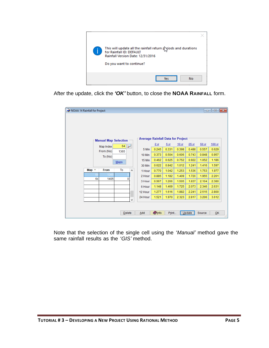

After the update, click the *'OK'* button, to close the **NOAA RAINFALL** form.

| NOAA 14 Rainfall for Project |    |                             |                                |                                          |                 |       |                  |                  |        | $\begin{array}{c c c c c c} \hline \multicolumn{3}{c }{\mathbf{C}} & \multicolumn{3}{c }{\mathbf{X}} \end{array}$ |
|------------------------------|----|-----------------------------|--------------------------------|------------------------------------------|-----------------|-------|------------------|------------------|--------|-------------------------------------------------------------------------------------------------------------------|
|                              |    |                             |                                |                                          |                 |       |                  |                  |        |                                                                                                                   |
|                              |    | <b>Manual Map Selection</b> |                                | <b>Average Rainfall Data for Project</b> |                 |       |                  |                  |        |                                                                                                                   |
|                              |    | Map Index                   | 64<br>$\overline{\phantom{a}}$ |                                          | 2 <sub>yr</sub> | 5yr   | 10 <sub>yr</sub> | 25 <sub>yr</sub> | 50 yr  | 100 <sub>yr</sub>                                                                                                 |
|                              |    | From (No)                   | 1365                           | 5 Min                                    | 0.245           | 0.331 | 0.398            | 0.488            | 0.557  | 0.629                                                                                                             |
|                              |    | To (No)                     |                                | 10 Min                                   | 0.373           | 0.504 | 0.606            | 0.743            | 0.848  | 0.957                                                                                                             |
|                              |    |                             | Maps                           | <b>15 Min</b>                            | 0.462           | 0.625 | 0.752            | 0.922            | 1.052  | 1.186                                                                                                             |
|                              |    |                             |                                | 30 Min                                   | 0.622           | 0.842 | 1.012            | 1.241            | 1.416  | 1.597                                                                                                             |
| Map $\triangle$              |    | <b>From</b>                 | To<br>۸                        | 1 Hour                                   | 0.770           | 1.042 | 1.253            | 1.536            | 1.753  | 1.977                                                                                                             |
|                              |    | 136                         |                                | 2 Hour                                   | 0.885           | 1.182 | 1.409            | 1.720            | 1.955  | 2.201                                                                                                             |
|                              | 64 | 1405                        | 0                              | 3 Hour                                   | 0.967           | 1.266 | 1.505            | 1.837            | 2.104  | 2.380                                                                                                             |
|                              |    |                             |                                | 6 Hour                                   | 1.148           | 1.469 | 1.725            | 2.073            | 2.346  | 2.631                                                                                                             |
|                              |    |                             |                                | 12 Hour                                  | 1.277           | 1.616 | 1.882            | 2.241            | 2.515  | 2.800                                                                                                             |
|                              |    |                             |                                | 24 Hour                                  | 1.521           | 1.970 | 2.323            | 2.817            | 3.206  | 3.612                                                                                                             |
|                              |    |                             | ٧                              |                                          |                 |       |                  |                  |        |                                                                                                                   |
|                              |    |                             |                                |                                          |                 |       |                  |                  |        |                                                                                                                   |
|                              |    |                             | <b>Delete</b>                  | Add                                      | <b>O</b> Info   | Print |                  | Update           | Source | QK                                                                                                                |

Note that the selection of the single cell using the *'Manual'* method gave the same rainfall results as the *'GIS'* method.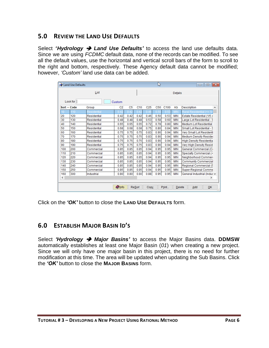# <span id="page-7-0"></span>**5.0 REVIEW THE LAND USE DEFAULTS**

Select *'Hydrology* ➔ *Land Use Defaults'* to access the land use defaults data. Since we are using *FCDMC* default data, none of the records can be modified. To see all the default values, use the horizontal and vertical scroll bars of the form to scroll to the right and bottom, respectively. These Agency default data cannot be modified; however, *'Custom'* land use data can be added.

|         | Land Use Defaults     |             |                |                | B               |                 |                 | $\  \mathbf{x} \ $<br>-0<br>- 11 |               |                                |
|---------|-----------------------|-------------|----------------|----------------|-----------------|-----------------|-----------------|----------------------------------|---------------|--------------------------------|
|         |                       | List        |                |                | <b>Details</b>  |                 |                 |                                  |               |                                |
|         | Look for              |             | Custom         |                |                 |                 |                 |                                  |               |                                |
|         | $Sort \triangle$ Code | Group       | C <sub>2</sub> | C <sub>5</sub> | C <sub>10</sub> | C <sub>25</sub> | C <sub>50</sub> | C <sub>100</sub>                 | Kb            | Description<br>۸               |
| 10      | 10                    | Residential |                |                |                 |                 | 0.5             |                                  | MIN           | Rural Residential (<= 1        |
| 20      | 120                   | Residential | 0.42           | 0.42           | 0.42            | 0.46            | 0.50            | 0.53                             | <b>MIN</b>    | Estate Residential (1/5 c      |
| 30      | 130                   | Residential | 0.48           | 0.48           | 0.48            | 0.53            | 0.58            | 0.60                             | <b>MIN</b>    | Large Lot Residential - S      |
| 40      | 140                   | Residential | 0.65           | 0.65           | 0.65            | 0.72            | 0.78            | 0.80                             | <b>MIN</b>    | <b>Medium Lot Residential</b>  |
| 50      | 150                   | Residential | 0.68           | 0.68           | 0.68            | 0.75            | 0.80            | 0.84                             | <b>MIN</b>    | Small Lot Residential - S      |
| 60      | 160                   | Residential | 0.75           | 0.75           | 0.75            | 0.83            | 0.90            | 0.94                             | <b>MIN</b>    | Very Small Lot Residenti       |
| 70      | 170                   | Residential | 0.75           | 0.75           | 0.75            | 0.83            | 0.90            | 0.94                             | <b>MIN</b>    | <b>Medium Density Resider</b>  |
| 80      | 180                   | Residential | 0.75           | 0.75           | 0.75            | 0.83            | 0.90            | 0.94                             | <b>MIN</b>    | <b>High Density Residentia</b> |
| 90      | 190                   | Residential | 0.75           | 0.75           | 0.75            | 0.83            | 0.90            | 0.94                             | <b>MIN</b>    | Very High Density Resid        |
| 100     | 200                   | Commercial  | 0.85           | 0.85           | 0.85            | 0.94            | 0.95            | 0.95                             | <b>MIN</b>    | General Commercial (C)         |
| 110     | 210                   | Commercial  | 0.85           | 0.85           | 0.85            | 0.94            | 0.95            | 0.95                             | <b>MIN</b>    | Specialty Commercial (<        |
| 120     | 220                   | Commercial  | 0.85           | 0.85           | 0.85            | 0.94            | 0.95            | 0.95                             | <b>MIN</b>    | Neighborhood Commen            |
| 130     | 230                   | Commercial  | 0.85           | 0.85           | 0.85            | 0.94            | 0.95            | 0.95                             | <b>MIN</b>    | <b>Community Commercial</b>    |
| 140     | 240                   | Commercial  | 0.85           | 0.85           | 0.85            | 0.94            | 0.95            | 0.95                             | <b>MIN</b>    | Regional Commercial (5         |
| 150     | 250                   | Commercial  | 0.85           | 0.85           | 0.85            | 0.94            | 0.95            | 0.95                             | <b>MIN</b>    | <b>Super-Regional Comme</b>    |
| 160     | 300                   | Industrial  | 0.80           | 0.80           | 0.80            | 0.88            | 0.95            | 0.95                             | <b>MIN</b>    | General Industrial (Indus v    |
| $\,<\,$ |                       |             |                |                |                 |                 |                 |                                  |               | $\,$                           |
|         |                       |             | <b>O</b> Info  |                | ReSort          | Copy            |                 | Print                            | <b>Delete</b> | QK<br>Add<br>w                 |

Click on the *'OK'* button to close the **LAND USE DEFAULTS** form.

# <span id="page-7-1"></span>**6.0 ESTABLISH MAJOR BASIN ID'S**

Select *'Hydrology* ➔ *Major Basins'* to access the Major Basins data. **DDMSW** automatically establishes at least one Major Basin (*01*) when creating a new project. Since we will only have one major basin in this project, there is no need for further modification at this time. The area will be updated when updating the Sub Basins. Click the *'OK'* button to close the **MAJOR BASINS** form.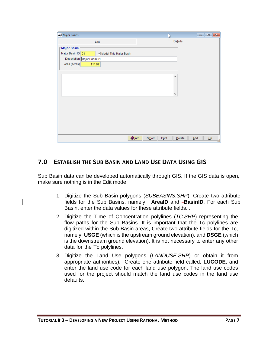| Major Basins       |                            | B                  | $\begin{array}{c c c c c} \hline \multicolumn{3}{c }{\textbf{a}} & \multicolumn{3}{c }{\textbf{a}} & \multicolumn{3}{c }{\textbf{x}} \\\hline \multicolumn{3}{c }{\textbf{b}} & \multicolumn{3}{c }{\textbf{c}} & \multicolumn{3}{c }{\textbf{x}} \\\hline \multicolumn{3}{c }{\textbf{b}} & \multicolumn{3}{c }{\textbf{c}} & \multicolumn{3}{c }{\textbf{x}} \\\hline \multicolumn{3}{c }{\textbf{b}} & \multicolumn{3}{c }{\textbf{b}} & \multicolumn{3}{c $ |
|--------------------|----------------------------|--------------------|-----------------------------------------------------------------------------------------------------------------------------------------------------------------------------------------------------------------------------------------------------------------------------------------------------------------------------------------------------------------------------------------------------------------------------------------------------------------|
|                    | List                       |                    | Details                                                                                                                                                                                                                                                                                                                                                                                                                                                         |
| <b>Major Basin</b> |                            |                    |                                                                                                                                                                                                                                                                                                                                                                                                                                                                 |
| Major Basin ID 01  | Model This Major Basin     |                    |                                                                                                                                                                                                                                                                                                                                                                                                                                                                 |
|                    | Description Major Basin 01 |                    |                                                                                                                                                                                                                                                                                                                                                                                                                                                                 |
| Area (acres)       | 111.97                     |                    |                                                                                                                                                                                                                                                                                                                                                                                                                                                                 |
|                    |                            |                    |                                                                                                                                                                                                                                                                                                                                                                                                                                                                 |
|                    |                            | ۸                  |                                                                                                                                                                                                                                                                                                                                                                                                                                                                 |
|                    |                            |                    |                                                                                                                                                                                                                                                                                                                                                                                                                                                                 |
|                    |                            |                    |                                                                                                                                                                                                                                                                                                                                                                                                                                                                 |
|                    |                            | v                  |                                                                                                                                                                                                                                                                                                                                                                                                                                                                 |
|                    |                            |                    |                                                                                                                                                                                                                                                                                                                                                                                                                                                                 |
|                    |                            |                    |                                                                                                                                                                                                                                                                                                                                                                                                                                                                 |
|                    |                            |                    |                                                                                                                                                                                                                                                                                                                                                                                                                                                                 |
|                    |                            |                    |                                                                                                                                                                                                                                                                                                                                                                                                                                                                 |
|                    |                            |                    |                                                                                                                                                                                                                                                                                                                                                                                                                                                                 |
|                    |                            |                    |                                                                                                                                                                                                                                                                                                                                                                                                                                                                 |
|                    |                            |                    |                                                                                                                                                                                                                                                                                                                                                                                                                                                                 |
|                    | $\bigcirc$ Info            | $ReS$ ort<br>Print | QK<br>$D$ elete<br>Add<br>w                                                                                                                                                                                                                                                                                                                                                                                                                                     |

# <span id="page-8-0"></span>**7.0 ESTABLISH THE SUB BASIN AND LAND USE DATA USING GIS**

Sub Basin data can be developed automatically through GIS. If the GIS data is open, make sure nothing is in the Edit mode.

- 1. Digitize the Sub Basin polygons (*SUBBASINS.SHP*). Create two attribute fields for the Sub Basins, namely: **AreaID** and **-BasinID**. For each Sub Basin, enter the data values for these attribute fields. .
- 2. Digitize the Time of Concentration polylines (*TC.SHP*) representing the flow paths for the Sub Basins. It is important that the Tc polylines are digitized within the Sub Basin areas, Create two attribute fields for the Tc, namely: **USGE** (which is the upstream ground elevation), and **DSGE** (which is the downstream ground elevation). It is not necessary to enter any other data for the Tc polylines.
- 3. Digitize the Land Use polygons (*LANDUSE.SHP*) or obtain it from appropriate authorities). Create one attribute field called, **LUCODE**, and enter the land use code for each land use polygon. The land use codes used for the project should match the land use codes in the land use defaults.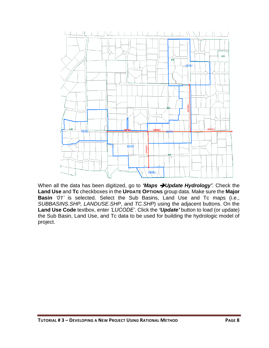

When all the data has been digitized, go to *'Maps* ➔*Update Hydrology'*. Check the **Land Use** and **Tc** checkboxes in the **UPDATE OPTIONS** group data. Make sure the **Major Basin** *'01'* is selected. Select the Sub Basins, Land Use and Tc maps (i.e., *SUBBASINS.SHP, LANDUSE.SHP*, and *TC.SHP*) using the adjacent buttons. On the **Land Use Code** textbox, enter *'LUCODE'*. Click the *'Update'* button to load (or update) the Sub Basin, Land Use, and Tc data to be used for building the hydrologic model of project.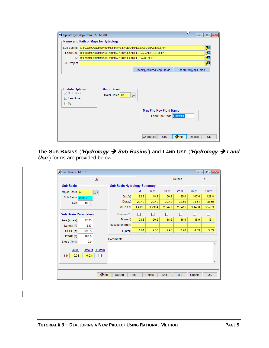|                                                                                      | Update hydrology from GIS - MB: 01                        |                                                          | ľΥ<br>$\begin{array}{c c c c c c} \hline \multicolumn{3}{c }{-} & \multicolumn{3}{c }{-} \multicolumn{3}{c }{-} \multicolumn{3}{c }{-} \multicolumn{3}{c }{-} \multicolumn{3}{c }{-} \multicolumn{3}{c }{-} \multicolumn{3}{c }{-} \multicolumn{3}{c }{-} \multicolumn{3}{c }{-} \multicolumn{3}{c }{-} \multicolumn{3}{c }{-} \multicolumn{3}{c }{-} \multicolumn{3}{c }{-} \multicolumn{3}{c }{-} \multicolumn{3}{c }{-} \multicolumn{3}{$ |  |  |  |  |  |  |  |  |
|--------------------------------------------------------------------------------------|-----------------------------------------------------------|----------------------------------------------------------|----------------------------------------------------------------------------------------------------------------------------------------------------------------------------------------------------------------------------------------------------------------------------------------------------------------------------------------------------------------------------------------------------------------------------------------------|--|--|--|--|--|--|--|--|
|                                                                                      | Name and Path of Maps for Hydrology                       |                                                          |                                                                                                                                                                                                                                                                                                                                                                                                                                              |  |  |  |  |  |  |  |  |
| <b>Sub Basins</b>                                                                    | 翆<br>C:\FCDMC\DDMSW605\ST\MAPS\KVLEXAMPLE3A\SUBBASINS.SHP |                                                          |                                                                                                                                                                                                                                                                                                                                                                                                                                              |  |  |  |  |  |  |  |  |
| <b>Land Use</b>                                                                      |                                                           | 酄<br>C:\FCDMC\DDMSW605\ST\MAPS\KVLEXAMPLE3A\LAND USE.SHP |                                                                                                                                                                                                                                                                                                                                                                                                                                              |  |  |  |  |  |  |  |  |
| Tc.                                                                                  | C:\FCDMC\DDMSW605\ST\MAPS\KVLEXAMPLE3A\TC.SHP             |                                                          | 霫                                                                                                                                                                                                                                                                                                                                                                                                                                            |  |  |  |  |  |  |  |  |
| <b>GIS Project</b>                                                                   |                                                           |                                                          | 霄                                                                                                                                                                                                                                                                                                                                                                                                                                            |  |  |  |  |  |  |  |  |
|                                                                                      |                                                           | Check Required Map Fields                                | <b>Required Map Fields</b>                                                                                                                                                                                                                                                                                                                                                                                                                   |  |  |  |  |  |  |  |  |
| <b>Update Options</b><br>$\vee$ Sub Basin<br><b>∞</b> Land Use<br>$\triangledown$ Tc | <b>Major Basin</b><br>Major Basin 01                      | <b>Map File Key Field Name</b><br>Land Use Code LUCODE   |                                                                                                                                                                                                                                                                                                                                                                                                                                              |  |  |  |  |  |  |  |  |

The **SUB BASINS** (*'Hydrology* ➔ *Sub Basins'*) and **LAND USE** (*'Hydrology* ➔ *Land Use'*) forms are provided below:

| Sub Basins - MB: 01                         |                                    |                 |                 |                  |                  |        | $\begin{array}{c c c c c c} \hline \multicolumn{3}{c }{-} & \multicolumn{3}{c }{-} & \multicolumn{3}{c }{-} \multicolumn{3}{c }{-} \multicolumn{3}{c }{-} & \multicolumn{3}{c }{-} \multicolumn{3}{c }{-} \multicolumn{3}{c }{-} & \multicolumn{3}{c }{-} \multicolumn{3}{c }{-} & \multicolumn{3}{c }{-} & \multicolumn{3}{c }{-} & \multicolumn{3}{c }{-} & \multicolumn{3}{c }{-} & \multicolumn{3}{c }{-} & \multicolumn{3}{c }{$ |
|---------------------------------------------|------------------------------------|-----------------|-----------------|------------------|------------------|--------|---------------------------------------------------------------------------------------------------------------------------------------------------------------------------------------------------------------------------------------------------------------------------------------------------------------------------------------------------------------------------------------------------------------------------------------|
| List                                        |                                    |                 |                 |                  | Details          |        | hy                                                                                                                                                                                                                                                                                                                                                                                                                                    |
| <b>Sub Basin</b>                            | <b>Sub Basin Hydrology Summary</b> |                 |                 |                  |                  |        |                                                                                                                                                                                                                                                                                                                                                                                                                                       |
| Major Basin 01<br>₽                         |                                    | 2 <sub>yr</sub> | 5 <sub>yr</sub> | 10 <sub>yr</sub> | 25 <sub>yr</sub> | 50 yr  | $100 \text{ yr}$                                                                                                                                                                                                                                                                                                                                                                                                                      |
| Sub Basin   010101                          | Q(cts)                             | 32.9            | 48.2            | 60.2             | 85.0             | 107.6  | 128.8                                                                                                                                                                                                                                                                                                                                                                                                                                 |
| $10 \div$<br>Sort                           | CA(ac)                             | 20.42           | 20.42           | 20.42            | 22.60            | 24.51  | 25.60                                                                                                                                                                                                                                                                                                                                                                                                                                 |
|                                             | Vol (ac-ft)                        | 1.4096          | 1.7904          | 2.0479           | 2.6415           | 3.1460 | 3.5763                                                                                                                                                                                                                                                                                                                                                                                                                                |
| <b>Sub Basin Parameters</b>                 | <b>Custom Tc</b>                   | l I             | П               | H                | $\mathbf{1}$     | H      | П                                                                                                                                                                                                                                                                                                                                                                                                                                     |
| Area (acres)<br>27.23                       | $Tc$ (min)                         | 23.3            | 20.2            | 18.5             | 16.9             | 15.9   | 15.1                                                                                                                                                                                                                                                                                                                                                                                                                                  |
| 1537<br>Length (ft)                         | Recession (min)                    |                 |                 |                  |                  |        |                                                                                                                                                                                                                                                                                                                                                                                                                                       |
| USGE (ft)<br>996.5                          | $l$ (in/hr)                        | 1.61            | 2.36            | 2.95             | 3.76             | 4.39   | 5.03                                                                                                                                                                                                                                                                                                                                                                                                                                  |
| DSGE (ft)<br>993.0<br>Slope (ft/mi)<br>12.0 | Comments                           |                 |                 |                  |                  |        |                                                                                                                                                                                                                                                                                                                                                                                                                                       |
|                                             |                                    |                 |                 |                  |                  |        | ٨                                                                                                                                                                                                                                                                                                                                                                                                                                     |
| Default Custom<br>Value                     |                                    |                 |                 |                  |                  |        |                                                                                                                                                                                                                                                                                                                                                                                                                                       |
| 0.031<br>0.031<br>Kb                        |                                    |                 |                 |                  |                  |        |                                                                                                                                                                                                                                                                                                                                                                                                                                       |
|                                             |                                    |                 |                 |                  |                  |        | v                                                                                                                                                                                                                                                                                                                                                                                                                                     |
|                                             |                                    |                 |                 |                  |                  |        |                                                                                                                                                                                                                                                                                                                                                                                                                                       |
| <b>Olnfo</b>                                | <b>ReSort</b>                      | Print           | Delete          | Add              | <b>MB</b>        | Update | OK                                                                                                                                                                                                                                                                                                                                                                                                                                    |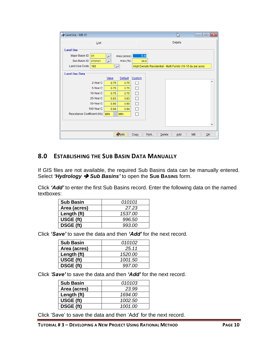| Land Use - MB: 01           |                                          |           |       | B                                                           |           | $\begin{array}{c c c c c c} \hline \multicolumn{3}{c }{\mathbf{C}} & \multicolumn{3}{c }{\mathbf{C}} & \multicolumn{3}{c }{\mathbf{X}} \end{array}$ |
|-----------------------------|------------------------------------------|-----------|-------|-------------------------------------------------------------|-----------|-----------------------------------------------------------------------------------------------------------------------------------------------------|
| List                        |                                          |           |       | Details                                                     |           |                                                                                                                                                     |
| <b>Land Use</b>             |                                          |           |       |                                                             |           |                                                                                                                                                     |
| Major Basin ID<br>01        | Area (acres)                             |           | 9.48  |                                                             |           |                                                                                                                                                     |
| Sub Basin ID<br>010101      | Area (%)<br>$\overline{r}$               |           | 34.8  |                                                             |           |                                                                                                                                                     |
| <b>Land Use Code</b><br>180 | $\overline{\nu}$                         |           |       | High Density Residential - Multi Family (10-15 du per acre) |           |                                                                                                                                                     |
| <b>Land Use Data</b>        |                                          |           |       |                                                             |           |                                                                                                                                                     |
|                             | Default<br>Value                         | Custom    |       |                                                             |           |                                                                                                                                                     |
| 2-Year C                    | 0.75                                     | 0.75      |       |                                                             |           | ۸                                                                                                                                                   |
| 5-Year C                    | 0.75                                     | 0.75<br>п |       |                                                             |           |                                                                                                                                                     |
| 10-Year C                   | 0.75                                     | п<br>0.75 |       |                                                             |           |                                                                                                                                                     |
| 25-Year C                   | 0.83                                     | п<br>0.83 |       |                                                             |           |                                                                                                                                                     |
| 50-Year C                   | 0.90                                     | П<br>0.90 |       |                                                             |           |                                                                                                                                                     |
| 100-Year C                  | 0.94                                     | П<br>0.94 |       |                                                             |           |                                                                                                                                                     |
| Resistance Coefficient (Kb) | <b>MIN</b><br><b>MIN</b><br>$\checkmark$ | П         |       |                                                             |           |                                                                                                                                                     |
|                             |                                          |           |       |                                                             |           |                                                                                                                                                     |
|                             |                                          |           |       |                                                             |           | v                                                                                                                                                   |
|                             |                                          |           |       |                                                             |           |                                                                                                                                                     |
|                             | <b>O</b> Info                            | Copy      | Print | Delete<br>Add                                               | <b>MB</b> | QK                                                                                                                                                  |

#### <span id="page-11-0"></span>**8.0 ESTABLISHING THE SUB BASIN DATA MANUALLY**

If GIS files are not available, the required Sub Basins data can be manually entered. Select *'Hydrology* ➔ *Sub Basins'* to open the **SUB BASINS** form.

Click *'Add'* to enter the first Sub Basins record. Enter the following data on the named textboxes:

| <b>Sub Basin</b> | 010101  |
|------------------|---------|
| Area (acres)     | 27.23   |
| Length (ft)      | 1537.00 |
| USGE (ft)        | 996.50  |
| <b>DSGE (ft)</b> | 993.00  |

Click *'Save'* to save the data and then *'Add'* for the next record.

| <b>Sub Basin</b> | 010102  |
|------------------|---------|
| Area (acres)     | 25.11   |
| Length (ft)      | 1520.00 |
| USGE (ft)        | 1001.50 |
| <b>DSGE (ft)</b> | 997.00  |

Click *'Save'* to save the data and then *'Add'* for the next record.

| <b>Sub Basin</b> | 010103  |
|------------------|---------|
| Area (acres)     | 23.99   |
| Length (ft)      | 1694.00 |
| USGE (ft)        | 1002.50 |
| <b>DSGE (ft)</b> | 1001.00 |

Click 'Save' to save the data and then 'Add' for the next record.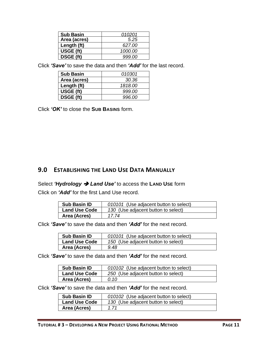| <b>Sub Basin</b> | 010201  |
|------------------|---------|
| Area (acres)     | 5.25    |
| Length (ft)      | 627.00  |
| USGE (ft)        | 1000.00 |
| <b>DSGE (ft)</b> | 999.00  |

Click *'Save'* to save the data and then *'Add'* for the last record.

| <b>Sub Basin</b> | <i>010301</i> |
|------------------|---------------|
| Area (acres)     | 30.36         |
| Length (ft)      | 1818.00       |
| USGE (ft)        | 999.00        |
| DSGE (ft)        | 996.00        |

Click *'OK'* to close the **SUB BASINS** form.

# <span id="page-12-0"></span>**9.0 ESTABLISHING THE LAND USE DATA MANUALLY**

Select *'Hydrology* ➔ *Land Use'* to access the **LAND USE** form

Click on *'Add'* for the first Land Use record.

| <b>Sub Basin ID</b>  | 010101 (Use adjacent button to select) |
|----------------------|----------------------------------------|
| <b>Land Use Code</b> | 130 (Use adjacent button to select)    |
| Area (Acres)         | 17 74                                  |

Click *'Save'* to save the data and then *'Add'* for the next record.

| <b>Sub Basin ID</b>  | 010101 (Use adjacent button to select) |
|----------------------|----------------------------------------|
| <b>Land Use Code</b> | 150 (Use adjacent button to select)    |
| Area (Acres)         | 9.48                                   |

Click *'Save'* to save the data and then *'Add'* for the next record.

| <b>Sub Basin ID</b>  | 010102 (Use adjacent button to select) |
|----------------------|----------------------------------------|
| <b>Land Use Code</b> | 250 (Use adjacent button to select)    |
| Area (Acres)         | 0.10                                   |

Click *'Save'* to save the data and then *'Add'* for the next record.

| <b>Sub Basin ID</b>  | 010102 (Use adjacent button to select) |
|----------------------|----------------------------------------|
| <b>Land Use Code</b> | 130 (Use adjacent button to select)    |
| Area (Acres)         | 1 71                                   |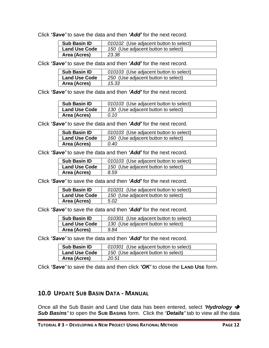Click *'Save'* to save the data and then *'Add'* for the next record.

| <b>Sub Basin ID</b>  | 010102 (Use adjacent button to select) |
|----------------------|----------------------------------------|
| <b>Land Use Code</b> | 150 (Use adjacent button to select)    |
| Area (Acres)         | 23.38                                  |

Click *'Save'* to save the data and then *'Add'* for the next record.

| <b>Sub Basin ID</b>  | 010103 (Use adjacent button to select) |
|----------------------|----------------------------------------|
| <b>Land Use Code</b> | 250 (Use adjacent button to select)    |
| Area (Acres)         | 15.33                                  |

Click *'Save'* to save the data and then *'Add'* for the next record.

| <b>Sub Basin ID</b>  | 010103 (Use adjacent button to select) |
|----------------------|----------------------------------------|
| <b>Land Use Code</b> | 130 (Use adjacent button to select)    |
| Area (Acres)         | 0.10                                   |

Click *'Save'* to save the data and then *'Add'* for the next record.

| <b>Sub Basin ID</b>  | 010103 (Use adjacent button to select) |
|----------------------|----------------------------------------|
| <b>Land Use Code</b> | 160 (Use adjacent button to select)    |
| Area (Acres)         | 0.40                                   |

Click *'Save'* to save the data and then *'Add'* for the next record.

| <b>Sub Basin ID</b>  | 010103 (Use adjacent button to select) |
|----------------------|----------------------------------------|
| <b>Land Use Code</b> | 150 (Use adjacent button to select)    |
| Area (Acres)         | 8.59                                   |

Click *'Save'* to save the data and then *'Add'* for the next record.

| <b>Sub Basin ID</b>  | 010201 (Use adjacent button to select) |
|----------------------|----------------------------------------|
| <b>Land Use Code</b> | 150 (Use adjacent button to select)    |
| Area (Acres)         | 5.02                                   |

Click *'Save'* to save the data and then *'Add'* for the next record.

| <b>Sub Basin ID</b>  | 010301 (Use adjacent button to select) |
|----------------------|----------------------------------------|
| <b>Land Use Code</b> | 130 (Use adjacent button to select)    |
| Area (Acres)         | 9.84                                   |

Click *'Save'* to save the data and then *'Add'* for the next record.

| <b>Sub Basin ID</b>  | 010301 (Use adjacent button to select) |
|----------------------|----------------------------------------|
| <b>Land Use Code</b> | 150 (Use adjacent button to select)    |
| Area (Acres)         | 20.51                                  |

Click *'Save'* to save the data and then click *'OK'* to close the **LAND USE** form.

#### <span id="page-13-0"></span>**10.0 UPDATE SUB BASIN DATA - MANUAL**

Once all the Sub Basin and Land Use data has been entered, select *'Hydrology* ➔ *Sub Basins'* to open the **SUB BASINS** form. Click the *'Details'* tab to view all the data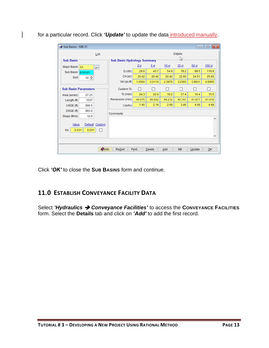| Sub Basins - MB: 01         |                                    |                 |                          |                  |                  |        | $\begin{array}{c c c c c c c} \hline \multicolumn{3}{c }{\mathbf{C}} & \multicolumn{3}{c }{\mathbf{X}} \end{array}$ |
|-----------------------------|------------------------------------|-----------------|--------------------------|------------------|------------------|--------|---------------------------------------------------------------------------------------------------------------------|
| List                        |                                    |                 |                          |                  | Details          |        |                                                                                                                     |
| <b>Sub Basin</b>            | <b>Sub Basin Hydrology Summary</b> |                 |                          |                  | hì               |        |                                                                                                                     |
| Major Basin 01<br>₽         |                                    | 2 <sub>yr</sub> | 5 yr                     | 10 <sub>yr</sub> | 25 <sub>yr</sub> | 50 yr  | 100 yr                                                                                                              |
| Sub Basin 010101            | Q(cls)                             | 29.6            | 43.7                     | 54.9             | 78.2             | 99.5   | 119.8                                                                                                               |
| $10 \div$<br>Sort           | CA(ac)                             | 20.42           | 20.42                    | 20.42            | 22.60            | 24.51  | 25.60                                                                                                               |
|                             | Vol (ac-ft)                        | 1.5060          | 2.0114                   | 2.3976           | 3.2393           | 3.9931 | 4.6955                                                                                                              |
| <b>Sub Basin Parameters</b> | <b>Custom Tc</b>                   | П               | $\overline{\phantom{a}}$ | $\mathsf{L}$     |                  |        | П                                                                                                                   |
| Area (acres)<br>27.23       | $Tc$ (min)                         | 24.3            | 20.9                     | 19.2             | 17.4             | 16.4   | 15.5                                                                                                                |
| 1537<br>Length (ft)         | Recession (min)                    | 49.575          | 45.932                   | 44.212           | 42.747           | 41.871 | 41.410                                                                                                              |
| USGE (ft)<br>996.5          | $l$ (in/hr)                        | 1.45            | 2.14                     | 2.69             | 3.46             | 4.06   | 4.68                                                                                                                |
| 993.0<br>DSGE (ft)          |                                    |                 |                          |                  |                  |        |                                                                                                                     |
| 12.0<br>Slope (ft/mi)       | Comments                           |                 |                          |                  |                  |        |                                                                                                                     |
|                             |                                    |                 |                          |                  |                  |        | ٨                                                                                                                   |
| Default Custom<br>Value     |                                    |                 |                          |                  |                  |        |                                                                                                                     |
| 0.031<br>0.031<br>Kb<br>۰   |                                    |                 |                          |                  |                  |        |                                                                                                                     |
| ٧                           |                                    |                 |                          |                  |                  |        |                                                                                                                     |
|                             |                                    |                 |                          |                  |                  |        |                                                                                                                     |
| <b>O</b> Info               | ReSort                             | Print           | Delete                   | Add              | <b>MB</b>        | Update | OK                                                                                                                  |

for a particular record. Click 'Update' to update the data introduced manually.

Click *'OK'* to close the **SUB BASINS** form and continue.

# <span id="page-14-0"></span>**11.0 ESTABLISH CONVEYANCE FACILITY DATA**

Select *'Hydraulics* ➔ *Conveyance Facilities'* to access the **CONVEYANCE FACILITIES** form. Select the **Details** tab and click on *'Add'* to add the first record.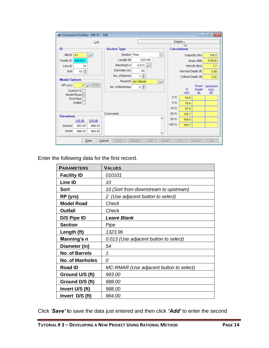| $\Box$ $\Box$ $\mathbf{x}$<br>Conveyance Facilities - MB: 01 -- Edit |                     |                      |                          |                     |                     |                    |                        |
|----------------------------------------------------------------------|---------------------|----------------------|--------------------------|---------------------|---------------------|--------------------|------------------------|
| List                                                                 |                     |                      | Details                  |                     |                     |                    |                        |
| ∙ID.                                                                 | <b>Section Type</b> |                      |                          | <b>Calculations</b> |                     |                    |                        |
| <b>MBID</b><br>01<br>لئو                                             | Section Pipe        |                      | $\checkmark$             |                     |                     | Capacity (cfs)     | 108.0                  |
| 010101<br><b>Facility ID</b>                                         | Length (ft)         | 1323.96              |                          |                     |                     | Slope (ft/ft)      | 0.0030                 |
| Line ID<br>10                                                        | Manning's n         | 0.013                |                          |                     |                     | Velocity (fps)     | 7.7                    |
| $10 \div$<br>Sort                                                    | Diameter (in)       | 54                   |                          |                     | Normal Depth (ft)   |                    | 3.58                   |
|                                                                      | No. of Barrels      | $1 \frac{1}{2}$      |                          |                     | Critical Depth (ft) |                    | 3.02                   |
| <b>Model Options</b>                                                 | Road ID             | <b>MC-RMAR</b>       | $\overline{\phantom{a}}$ |                     |                     |                    |                        |
| $\overline{2}$<br><b>All RP</b><br>RP (yrs)<br>Custom $Q \Box$       | No. of Manholes     | $0 \neq$             |                          |                     | Q                   | Road<br>Depth      | Upstream<br><b>HGL</b> |
| Model Road <sup>√</sup>                                              |                     |                      |                          | 2Yr                 | (cfs)<br>54.0       | (f <sup>th</sup> ) | (f <sup>t</sup> )      |
| First Pipe<br>Outfall                                                |                     |                      |                          | 5 Yr                | 78.4                |                    |                        |
|                                                                      |                     |                      |                          | 10 Yr               |                     |                    |                        |
|                                                                      | Comments            |                      |                          | 25 Yr               | 97.6                |                    |                        |
| <b>Elevations</b>                                                    |                     |                      | ۸                        | 50 Yr               | 135.7               |                    |                        |
| U/S(ft)<br>$D/S$ (ft)                                                |                     |                      |                          |                     | 164.6               |                    |                        |
| Ground<br>993.00<br>988.00                                           |                     |                      |                          | 100 Yr              | 193.7               |                    |                        |
| Invert<br>988.00<br>984.00                                           |                     |                      | ٧                        |                     |                     |                    |                        |
| Save                                                                 | Cancel<br>Print     | Add<br><b>Delete</b> | Graph                    |                     | MB                  | Update             | OK                     |

Enter the following data for the first record.

| <b>PARAMETERS</b>      | <b>VALUES</b>                           |
|------------------------|-----------------------------------------|
| <b>Facility ID</b>     | 010101                                  |
| <b>Line ID</b>         | 10                                      |
| <b>Sort</b>            | 10 (Sort from downstream to upstream)   |
| RP (yrs)               | 2 (Use adjacent button to select)       |
| <b>Model Road</b>      | Check                                   |
| <b>Outfall</b>         | Check                                   |
| D/S Pipe ID            | <b>Leave Blank</b>                      |
| <b>Section</b>         | Pipe                                    |
| Length (ft)            | 1323.96                                 |
| Manning's n            | 0.013 (Use adjacent button to select)   |
| Diameter (in)          | 54                                      |
| <b>No. of Barrels</b>  | 1                                       |
| <b>No. of Manholes</b> | 0                                       |
| <b>Road ID</b>         | MC-RMAR (Use adjacent button to select) |
| Ground U/S (ft)        | 993.00                                  |
| Ground D/S (ft)        | 988.00                                  |
| Invert U/S (ft)        | 988.00                                  |
| Invert D/S (ft)        | 984.00                                  |

Click *'Save'* **t**o save the data just entered and then click *'Add'* to enter the second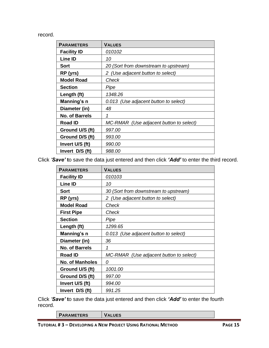record.

| <b>PARAMETERS</b>     | <b>VALUES</b>                           |
|-----------------------|-----------------------------------------|
| <b>Facility ID</b>    | 010102                                  |
| Line ID               | 10                                      |
| <b>Sort</b>           | 20 (Sort from downstream to upstream)   |
| RP (yrs)              | 2 (Use adjacent button to select)       |
| <b>Model Road</b>     | Check                                   |
| <b>Section</b>        | Pipe                                    |
| Length (ft)           | 1348.26                                 |
| Manning's n           | 0.013 (Use adjacent button to select)   |
| Diameter (in)         | 48                                      |
| <b>No. of Barrels</b> | 1                                       |
| <b>Road ID</b>        | MC-RMAR (Use adjacent button to select) |
| Ground U/S (ft)       | 997.00                                  |
| Ground D/S (ft)       | 993.00                                  |
| Invert U/S (ft)       | 990.00                                  |
| Invert D/S (ft)       | 988.00                                  |

Click *'Save'* **t**o save the data just entered and then click *'Add'* to enter the third record.

| <b>PARAMETERS</b>      | <b>VALUES</b>                           |
|------------------------|-----------------------------------------|
| <b>Facility ID</b>     | 010103                                  |
| Line ID                | 10                                      |
| <b>Sort</b>            | 30 (Sort from downstream to upstream)   |
| RP (yrs)               | 2 (Use adjacent button to select)       |
| <b>Model Road</b>      | Check                                   |
| <b>First Pipe</b>      | Check                                   |
| <b>Section</b>         | Pipe                                    |
| Length (ft)            | 1299.65                                 |
| Manning's n            | 0.013 (Use adjacent button to select)   |
| Diameter (in)          | 36                                      |
| <b>No. of Barrels</b>  | 1                                       |
| <b>Road ID</b>         | MC-RMAR (Use adjacent button to select) |
| <b>No. of Manholes</b> | 0                                       |
| Ground U/S (ft)        | 1001.00                                 |
| Ground D/S (ft)        | 997.00                                  |
| Invert U/S (ft)        | 994.00                                  |
| Invert D/S (ft)        | 991.25                                  |

Click *'Save'* **t**o save the data just entered and then click *'Add'* to enter the fourth record.

| <b>ARAMEILRS</b> |  |
|------------------|--|
|                  |  |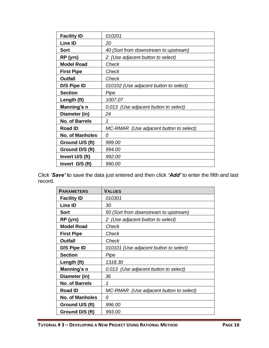| <b>Facility ID</b>     | 010201                                  |
|------------------------|-----------------------------------------|
| <b>Line ID</b>         | 20                                      |
| <b>Sort</b>            | 40 (Sort from downstream to upstream)   |
| RP (yrs)               | 2 (Use adjacent button to select)       |
| <b>Model Road</b>      | Check                                   |
| <b>First Pipe</b>      | Check                                   |
| <b>Outfall</b>         | Check                                   |
| D/S Pipe ID            | 010102 (Use adjacent button to select)  |
| <b>Section</b>         | Pipe                                    |
| Length (ft)            | 1007.07                                 |
| Manning's n            | 0.013 (Use adjacent button to select)   |
| Diameter (in)          | 24                                      |
| <b>No. of Barrels</b>  | 1                                       |
| <b>Road ID</b>         | MC-RMAR (Use adjacent button to select) |
| <b>No. of Manholes</b> | 0                                       |
| Ground U/S (ft)        | 999.00                                  |
| Ground D/S (ft)        | 994.00                                  |
| Invert U/S (ft)        | 992.00                                  |
| Invert D/S (ft)        | 990.00                                  |

Click *'Save'* **t**o save the data just entered and then click *'Add'* to enter the fifth and last record.

| <b>PARAMETERS</b>      | <b>VALUES</b>                           |
|------------------------|-----------------------------------------|
| <b>Facility ID</b>     | 010301                                  |
| <b>Line ID</b>         | 30                                      |
| <b>Sort</b>            | 50 (Sort from downstream to upstream)   |
| RP (yrs)               | 2 (Use adjacent button to select)       |
| <b>Model Road</b>      | Check                                   |
| <b>First Pipe</b>      | Check                                   |
| <b>Outfall</b>         | Check                                   |
| D/S Pipe ID            | 010101 (Use adjacent button to select)  |
| <b>Section</b>         | Pipe                                    |
| Length (ft)            | 1318.30                                 |
| Manning's n            | 0.013 (Use adjacent button to select)   |
| Diameter (in)          | 36                                      |
| <b>No. of Barrels</b>  | 1                                       |
| <b>Road ID</b>         | MC-RMAR (Use adjacent button to select) |
| <b>No. of Manholes</b> | 0                                       |
| Ground U/S (ft)        | 996.00                                  |
| Ground D/S (ft)        | 993.00                                  |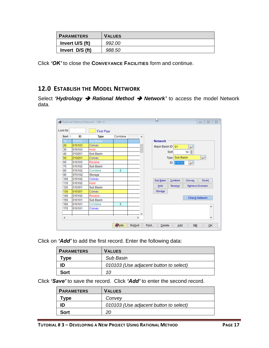| <b>PARAMETERS</b> | <b>VALUES</b> |
|-------------------|---------------|
| Invert U/S (ft)   | 992.00        |
| Invert D/S (ft)   | 988.50        |

Click *'OK'* to close the **CONVEYANCE FACILITIES** form and continue.

# <span id="page-18-0"></span>**12.0 ESTABLISH THE MODEL NETWORK**

Select *'Hydrology* ➔ *Rational Method* ➔ *Network'* to access the model Network data.

|                  |        | Rational Method Network - MB: 01 |               |               |       | 12             |                          |           | $\Sigma$<br>$\qquad \qquad \Box$<br>$\qquad \qquad \Box$ |
|------------------|--------|----------------------------------|---------------|---------------|-------|----------------|--------------------------|-----------|----------------------------------------------------------|
| Look for         |        | <b>First Pipe</b>                |               |               |       |                |                          |           |                                                          |
| Sort $\triangle$ | ID     | <b>Type</b>                      | Combine       | Α             |       |                |                          |           |                                                          |
| 10               | 010103 | Sub Basin                        |               |               |       | <b>Network</b> |                          |           |                                                          |
| 20               | 010103 | Convey                           |               |               |       | Major Basin ID | 01                       |           |                                                          |
| 30               | 010103 | Hold                             |               |               |       |                |                          |           |                                                          |
| 40               | 010201 | <b>Sub Basin</b>                 |               |               |       |                | Sort                     | $10 \div$ |                                                          |
| 50               | 010201 | Convey                           |               |               |       |                | <b>Sub Basin</b><br>Type |           | $\overline{\phantom{a}}$                                 |
| 60               | 010103 | Receive                          |               |               |       |                | 010103<br>ID             | لز        |                                                          |
| 70               | 010102 | <b>Sub Basin</b>                 |               |               |       |                |                          |           |                                                          |
| 80               | 010102 | Combine                          | 3             |               |       |                |                          |           |                                                          |
| 90               | ST0102 | Storage                          |               |               |       |                |                          |           |                                                          |
| 100              | 010102 | Convey                           |               |               |       | Sub Basin      | Combine                  | Convey    | <b>Divert</b>                                            |
| 110              | 010102 | Hold                             |               |               |       |                |                          |           |                                                          |
| 120              | 010301 | <b>Sub Basin</b>                 |               |               |       | Hold           | Receive                  |           | Retrieve Diversion                                       |
| 130              | 010301 | Convey                           |               |               |       | Storage        |                          |           |                                                          |
| 140              | 010102 | Receive                          |               |               |       |                |                          |           |                                                          |
| 150              | 010101 | <b>Sub Basin</b>                 |               |               |       |                |                          |           | Check Network                                            |
| 160              | 010101 | Combine                          | 3             |               |       |                |                          |           |                                                          |
| 170              | 010101 | Convey                           |               |               |       |                |                          |           | ۸                                                        |
|                  |        |                                  |               | v             |       |                |                          |           |                                                          |
| $\,<$            |        |                                  |               | $\rightarrow$ |       |                |                          |           | ٧                                                        |
|                  |        |                                  |               |               |       |                |                          |           |                                                          |
|                  |        |                                  | <b>O</b> Info | <b>ReSort</b> | Print | Delete         | Add                      | <b>MB</b> | QK                                                       |

Click on *'Add'* to add the first record. Enter the following data:

| <b>PARAMETERS</b> | <b>VALUES</b>                          |
|-------------------|----------------------------------------|
| vpe:              | <b>Sub Basin</b>                       |
|                   | 010103 (Use adjacent button to select) |
| Sort              | 10                                     |

Click *'Save'* to save the record. Click *'Add'* to enter the second record.

| <b>PARAMETERS</b> | <b>VALUES</b>                          |
|-------------------|----------------------------------------|
| ™vpe              | Convey                                 |
|                   | 010103 (Use adjacent button to select) |
| Sort              | 20                                     |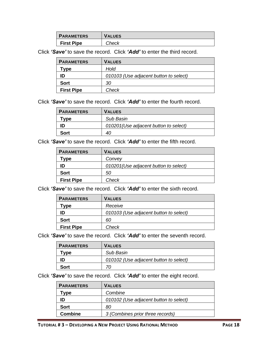| <b>PARAMETERS</b> | <b>VALUES</b> |
|-------------------|---------------|
| <b>First Pipe</b> | <i>-heck</i>  |

Click *'Save'* to save the record. Click *'Add'* to enter the third record.

| <b>PARAMETERS</b>   | <b>VALUES</b>                          |
|---------------------|----------------------------------------|
| $^{\mathsf{r}}$ ype | Hold                                   |
| ID                  | 010103 (Use adjacent button to select) |
| <b>Sort</b>         | 30                                     |
| <b>First Pipe</b>   | Check                                  |

Click *'Save'* to save the record. Click *'Add'* to enter the fourth record.

| <b>PARAMETERS</b> | <b>VALUES</b>                          |
|-------------------|----------------------------------------|
| vpe               | Sub Basin                              |
|                   | 010201 (Use adjacent button to select) |
| Sort              | 40                                     |

Click *'Save'* to save the record. Click *'Add'* to enter the fifth record.

| <b>PARAMETERS</b> | <b>VALUES</b>                          |
|-------------------|----------------------------------------|
| vpe]              | Convey                                 |
| ID                | 010201 (Use adjacent button to select) |
| Sort              | 50                                     |
| <b>First Pipe</b> | Check                                  |

Click *'Save'* to save the record. Click *'Add'* to enter the sixth record.

| <b>PARAMETERS</b> | <b>VALUES</b>                          |
|-------------------|----------------------------------------|
| Type              | Receive                                |
| ID                | 010103 (Use adjacent button to select) |
| <b>Sort</b>       | 60                                     |
| <b>First Pipe</b> | Check                                  |

Click *'Save'* to save the record. Click *'Add'* to enter the seventh record.

| <b>PARAMETERS</b> | <b>VALUES</b>                          |
|-------------------|----------------------------------------|
| "ype              | Sub Basin                              |
| ID                | 010102 (Use adjacent button to select) |
| Sort              | 70                                     |

Click *'Save'* to save the record. Click *'Add'* to enter the eight record.

| <b>PARAMETERS</b> | <b>VALUES</b>                          |
|-------------------|----------------------------------------|
| <b>Tvpe</b>       | Combine                                |
| ID                | 010102 (Use adjacent button to select) |
| <b>Sort</b>       | 80                                     |
| <b>Combine</b>    | 3 (Combines prior three records)       |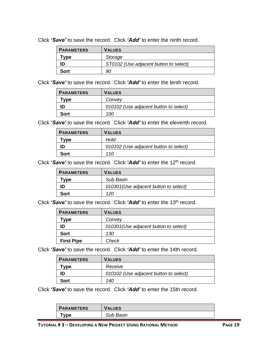Click *'Save'* to save the record. Click *'Add'* to enter the ninth record.

| <b>PARAMETERS</b> | <b>VALUES</b>                          |
|-------------------|----------------------------------------|
| vpe               | Storage                                |
|                   | ST0102 (Use adjacent button to select) |
| Sort              | 90                                     |

Click *'Save'* to save the record. Click *'Add'* to enter the tenth record.

| <b>PARAMETERS</b> | <b>VALUES</b>                          |
|-------------------|----------------------------------------|
| vpe ⊺             | Convey                                 |
|                   | 010102 (Use adjacent button to select) |
| Sort              | 100                                    |

Click *'Save'* to save the record. Click *'Add'* to enter the eleventh record.

| <b>PARAMETERS</b>   | <b>VALUES</b>                          |
|---------------------|----------------------------------------|
| $^{\mathsf{v}}$ vpe | Hold                                   |
| ID                  | 010102 (Use adjacent button to select) |
| <b>Sort</b>         | 110                                    |

Click 'Save' to save the record. Click 'Add' to enter the 12<sup>th</sup> record.

| <b>PARAMETERS</b>                           | <b>VALUES</b>                          |
|---------------------------------------------|----------------------------------------|
| $\mathbf{{\color{black} {\mathsf{T}}}}$ vpe | Sub Basin                              |
| ID                                          | 010301 (Use adjacent button to select) |
| <b>Sort</b>                                 | 120                                    |

Click 'Save' to save the record. Click 'Add' to enter the 13<sup>th</sup> record.

| <b>PARAMETERS</b> | <b>VALUES</b>                          |  |  |
|-------------------|----------------------------------------|--|--|
| 「ype              | Convey                                 |  |  |
| ID                | 010301 (Use adjacent button to select) |  |  |
| <b>Sort</b>       | 130                                    |  |  |
| <b>First Pipe</b> | Check                                  |  |  |

Click *'Save'* to save the record. Click *'Add'* to enter the 14th record.

| <b>PARAMETERS</b> | <b>VALUES</b>                          |
|-------------------|----------------------------------------|
| vpe ⊺             | Receive                                |
| ID                | 010102 (Use adjacent button to select) |
| Sort              | 140                                    |

Click *'Save'* to save the record. Click *'Add'* to enter the 15th record.

| <b>PARAMETERS</b> | <b>VALUES</b> |
|-------------------|---------------|
| vpe               | Sub Basin     |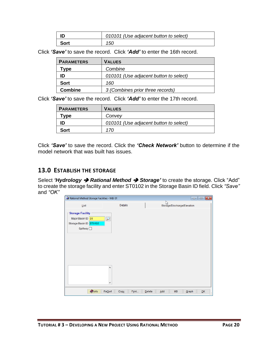| ID          | 010101 (Use adjacent button to select) |
|-------------|----------------------------------------|
| <b>Sort</b> | 150                                    |

Click *'Save'* to save the record. Click *'Add'* to enter the 16th record.

| <b>PARAMETERS</b> | <b>VALUES</b>                          |
|-------------------|----------------------------------------|
| Type              | Combine                                |
| ID                | 010101 (Use adjacent button to select) |
| <b>Sort</b>       | 160                                    |
| <b>Combine</b>    | 3 (Combines prior three records)       |

Click *'Save'* to save the record. Click *'Add'* to enter the 17th record.

| <b>PARAMETERS</b> | <b>VALUES</b>                          |
|-------------------|----------------------------------------|
| ™vpe              | Convey                                 |
| ID                | 010101 (Use adjacent button to select) |
| <b>Sort</b>       | 170                                    |

Click *'Save'* to save the record. Click the *'Check Network'* button to determine if the model network that was built has issues.

# <span id="page-21-0"></span>**13.0 ESTABLISH THE STORAGE**

Select *'Hydrology* ➔ *Rational Method* ➔ *Storage'* to create the storage. Click "Add" to create the storage facility and enter ST0102 in the Storage Basin ID field. Click *"Save"* and *"OK"*

| Rational Method Storage Facilities - MB: 01                                          |                                                 | $\begin{array}{c c c c c c} \hline \multicolumn{3}{c }{\mathbf{C}} & \multicolumn{3}{c }{\mathbf{S}} & \multicolumn{3}{c }{\mathbf{X}} \end{array}$ |
|--------------------------------------------------------------------------------------|-------------------------------------------------|-----------------------------------------------------------------------------------------------------------------------------------------------------|
| List                                                                                 | Details                                         | Storage/Discharge/Elevation                                                                                                                         |
| <b>Storage Facility</b><br>Major Basin ID 01<br>Storage Basin ID   ST0102<br>Spinway | ₽                                               |                                                                                                                                                     |
| <b>O</b> Info                                                                        | $\Delta$<br>٧<br><b>Resort</b><br>Print<br>Copy | Add<br>QK<br>Delete<br><b>MB</b><br>Graph<br>$-111$                                                                                                 |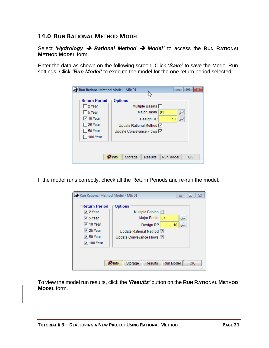#### <span id="page-22-0"></span>**14.0 RUN RATIONAL METHOD MODEL**

Select *'Hydrology* ➔ *Rational Method* ➔ *Model'* to access the **RUN RATIONAL METHOD MODEL** form.

Enter the data as shown on the following screen. Click *'Save'* to save the Model Run settings. Click *'Run Model'* to execute the model for the one return period selected.

| Run Rational Method Model - MB: 01<br>▣                          |                                                                                                                    |                 |
|------------------------------------------------------------------|--------------------------------------------------------------------------------------------------------------------|-----------------|
| <b>Return Period</b><br>2 Year<br>5 Year<br>☑ 10 Year<br>25 Year | V3<br><b>Options</b><br>Multiple Basins<br>Major Basin   01<br>Design RP<br>Update Rational Method $\triangledown$ | 10              |
| □ 50 Year<br>100 Year                                            | Update Conveyance Flows Ø<br>$\bullet$ Info<br>Storage<br><b>Results</b>                                           | Run Model<br>ОK |

If the model runs correctly, check all the Return Periods and re-run the model.

| Run Rational Method Model - MB: 01                                                                               |                                                                                                 | $\Sigma$<br>▣<br>$\equiv$ |
|------------------------------------------------------------------------------------------------------------------|-------------------------------------------------------------------------------------------------|---------------------------|
| <b>Return Period</b><br>$\nabla$ 2 Year<br>$\triangledown$ 5 Year<br>$\triangledown$ 10 Year<br>$\sqrt{25}$ Year | <b>Options</b><br>Multiple Basins<br>Major Basin<br>01<br>Design RP<br>Update Rational Method V | 10                        |
| $\triangledown$ 50 Year<br>$\sqrt{ }$ 100 Year                                                                   | Update Conveyance Flows V                                                                       |                           |
|                                                                                                                  | <b>O</b> lnfo<br>Storage<br>Results                                                             | Run Model<br>ОК           |

To view the model run results, click the *'Results'* button on the **RUN RATIONAL METHOD MODEL** form.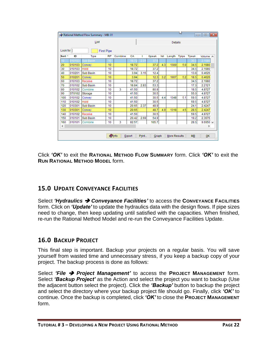|                                                                                    | ľΥ<br>$\begin{array}{c c c c c c c c c} \hline \multicolumn{3}{c }{\mathbf{C}} & \multicolumn{3}{c }{\mathbf{S}} & \multicolumn{3}{c }{\mathbf{S}} \end{array}$<br>Rational Method Flow Summary - MB: 01 |                  |           |         |                |      |       |     |        |              |       |                  |  |  |
|------------------------------------------------------------------------------------|----------------------------------------------------------------------------------------------------------------------------------------------------------------------------------------------------------|------------------|-----------|---------|----------------|------|-------|-----|--------|--------------|-------|------------------|--|--|
| List                                                                               |                                                                                                                                                                                                          |                  |           |         | <b>Details</b> |      |       |     |        |              |       |                  |  |  |
|                                                                                    | Look for<br><b>First Pipe</b>                                                                                                                                                                            |                  |           |         |                |      |       |     |        |              |       |                  |  |  |
| Sort $\triangle$                                                                   | ID                                                                                                                                                                                                       | <b>Type</b>      | <b>RP</b> | Combine | CA             | п    | Qpeak | Vel | Length | <b>Tpipe</b> | Tpeak | Volume A         |  |  |
| 10                                                                                 | 010103                                                                                                                                                                                                   | Sub Basin        | 10        |         | 18             | 2.U  |       |     |        |              |       | 2.1980           |  |  |
| 20                                                                                 | 010103                                                                                                                                                                                                   | Convey           | 10        |         | 18.72          |      | 37.2  | 4.3 | 1300   | 5.0          | 34.5  | 2.1980           |  |  |
| 30                                                                                 | 010103                                                                                                                                                                                                   | Hold             | 10        |         | 18.72          |      | 37.2  |     |        |              | 34.5  | 2.1980           |  |  |
| 40                                                                                 | 010201                                                                                                                                                                                                   | <b>Sub Basin</b> | 10        |         | 3.94           | 3.15 | 12.4  |     |        |              | 13.8  | 0.4626           |  |  |
| 50                                                                                 | 010201                                                                                                                                                                                                   | Convey           | 10        |         | 3.94           |      | 12.3  | 3.2 | 1007   | 5.2          | 18.5  | 0.4626           |  |  |
| 60                                                                                 | 010103                                                                                                                                                                                                   | Receive          | 10        |         | 18.72          |      | 37.2  |     |        |              | 34.5  | 2.1980           |  |  |
| 70                                                                                 | 010102                                                                                                                                                                                                   | <b>Sub Basin</b> | 10        |         | 18.84          | 2.83 | 53.3  |     |        |              | 17.3  | 2.2121           |  |  |
| 80                                                                                 | 010102                                                                                                                                                                                                   | Combine          | 10        | 3       | 41.50          |      | 80.9  |     |        |              | 18.5  | 4.8727           |  |  |
| 90                                                                                 | ST0102                                                                                                                                                                                                   | Storage          | 10        |         | 41.50          |      | 30.5  |     |        |              | 55.0  | 4.8727           |  |  |
| 100                                                                                | 010102                                                                                                                                                                                                   | Convey           | 10        |         | 41.50          |      | 30.5  | 4.4 | 1348   | 5.1          | 59.5  | 4.8727           |  |  |
| 110                                                                                | 010102                                                                                                                                                                                                   | Hold             | 10        |         | 41.50          |      | 30.5  |     |        |              | 59.5  | 4.8727           |  |  |
| 120                                                                                | 010301                                                                                                                                                                                                   | <b>Sub Basin</b> | 10        |         | 20.65          | 2.37 | 48.9  |     |        |              | 24.1  | 2.4247           |  |  |
| 130                                                                                | 010301                                                                                                                                                                                                   | Convey           | 10        |         | 20.65          |      | 48.7  | 4.9 | 1318   | 4.5          | 28.5  | 2.4247           |  |  |
| 140                                                                                | 010102                                                                                                                                                                                                   | Receive          | 10        |         | 41.50          |      | 30.5  |     |        |              | 59.5  | 4.8727           |  |  |
| 150                                                                                | 010101                                                                                                                                                                                                   | <b>Sub Basin</b> | 10        |         | 20.42          | 2.69 | 54.9  |     |        |              | 19.2  | 2.3976           |  |  |
| 160                                                                                | 010101                                                                                                                                                                                                   | Combine          | 10        | 3       | 82.57          |      | 105.7 |     |        |              | 28.5  | $9.6950 \sqrt{}$ |  |  |
| $\,<$                                                                              | $\rightarrow$                                                                                                                                                                                            |                  |           |         |                |      |       |     |        |              |       |                  |  |  |
| <b>Olnfo</b><br><b>MB</b><br>QK<br>Print<br><b>More Results</b><br>Export<br>Graph |                                                                                                                                                                                                          |                  |           |         |                |      |       |     |        | 出            |       |                  |  |  |

Click *'OK'* to exit the **RATIONAL METHOD FLOW SUMMARY** form. Click *'OK'* to exit the **RUN RATIONAL METHOD MODEL** form.

# <span id="page-23-0"></span>**15.0 UPDATE CONVEYANCE FACILITIES**

Select *'Hydraulics* ➔ *Conveyance Facilities'* to access the **CONVEYANCE FACILITIES** form. Click on *'Update'* to update the hydraulics data with the design flows. If pipe sizes need to change, then keep updating until satisfied with the capacities. When finished, re-run the Rational Method Model and re-run the Conveyance Facilities Update.

# <span id="page-23-1"></span>**16.0 BACKUP PROJECT**

This final step is important. Backup your projects on a regular basis. You will save yourself from wasted time and unnecessary stress, if you keep a backup copy of your project. The backup process is done as follows:

Select *'File* ➔ *Project Management'* to access the **PROJECT MANAGEMENT** form. Select *'Backup Project'* as the Action and select the project you want to backup (Use the adjacent button select the project). Click the *'Backup'* button to backup the project and select the directory where your backup project file should go. Finally, click *'OK'* to continue. Once the backup is completed, click *'OK'* to close the **PROJECT MANAGEMENT** form.